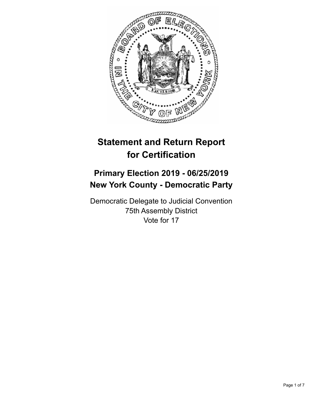

# **Statement and Return Report for Certification**

## **Primary Election 2019 - 06/25/2019 New York County - Democratic Party**

Democratic Delegate to Judicial Convention 75th Assembly District Vote for 17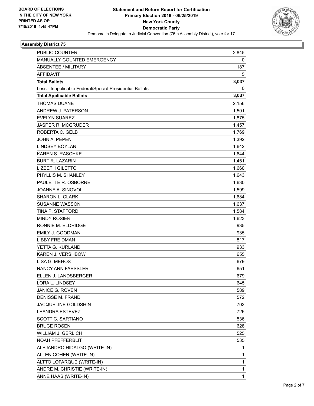

## **Assembly District 75**

| PUBLIC COUNTER                                           | 2,845        |
|----------------------------------------------------------|--------------|
| MANUALLY COUNTED EMERGENCY                               | 0            |
| <b>ABSENTEE / MILITARY</b>                               | 187          |
| <b>AFFIDAVIT</b>                                         | 5            |
| <b>Total Ballots</b>                                     | 3,037        |
| Less - Inapplicable Federal/Special Presidential Ballots | 0            |
| <b>Total Applicable Ballots</b>                          | 3,037        |
| <b>THOMAS DUANE</b>                                      | 2,156        |
| ANDREW J. PATERSON                                       | 1,501        |
| <b>EVELYN SUAREZ</b>                                     | 1,875        |
| <b>JASPER R. MCGRUDER</b>                                | 1,457        |
| ROBERTA C. GELB                                          | 1,769        |
| <b>JOHN A. PEPEN</b>                                     | 1,392        |
| LINDSEY BOYLAN                                           | 1,642        |
| <b>KAREN S. RASCHKE</b>                                  | 1,644        |
| <b>BURT R. LAZARIN</b>                                   | 1,451        |
| <b>LIZBETH GILETTO</b>                                   | 1,660        |
| PHYLLIS M. SHANLEY                                       | 1,643        |
| PAULETTE R. OSBORNE                                      | 1,630        |
| JOANNE A. SINOVOI                                        | 1,599        |
| <b>SHARON L. CLARK</b>                                   | 1,684        |
| <b>SUSANNE WASSON</b>                                    | 1,637        |
| TINA P. STAFFORD                                         | 1,584        |
| <b>MINDY ROSIER</b>                                      | 1,623        |
| RONNIE M. ELDRIDGE                                       | 935          |
| EMILY J. GOODMAN                                         | 935          |
| <b>LIBBY FREIDMAN</b>                                    | 817          |
| YETTA G. KURLAND                                         | 933          |
| KAREN J. VERSHBOW                                        | 655          |
| LISA G. MEHOS                                            | 679          |
| NANCY ANN FAESSLER                                       | 651          |
| ELLEN J. LANDSBERGER                                     | 679          |
| LORA L. LINDSEY                                          | 645          |
| JANICE G. ROVEN                                          | 589          |
| DENISSE M. FRAND                                         | 572          |
| JACQUELINE GOLDSHIN                                      | 702          |
| <b>LEANDRA ESTEVEZ</b>                                   | 726          |
| SCOTT C. SARTIANO                                        | 536          |
| <b>BRUCE ROSEN</b>                                       | 628          |
| <b>WILLIAM J. GERLICH</b>                                | 525          |
| NOAH PFEFFERBLIT                                         | 535          |
| ALEJANDRO HIDALGO (WRITE-IN)                             | 1            |
| ALLEN COHEN (WRITE-IN)                                   | 1            |
| ALTTO LOFARQUE (WRITE-IN)                                | $\mathbf{1}$ |
| ANDRE M. CHRISTIE (WRITE-IN)                             | 1            |
| ANNE HAAS (WRITE-IN)                                     | $\mathbf{1}$ |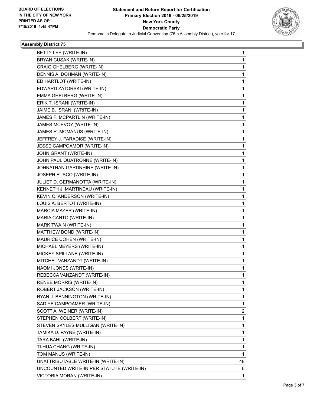

## **Assembly District 75**

| BETTY LEE (WRITE-IN)                      | 1              |
|-------------------------------------------|----------------|
| BRYAN CUSAK (WRITE-IN)                    | 1              |
| CRAIG GHELBERG (WRITE-IN)                 | 1              |
| DENNIS A. DOHMAN (WRITE-IN)               | 1.             |
| ED HARTLOT (WRITE-IN)                     | 1              |
| EDWARD ZATORSKI (WRITE-IN)                | 1              |
| EMMA GHELBERG (WRITE-IN)                  | 1.             |
| ERIK T. ISRANI (WRITE-IN)                 | 1              |
| JAIME B. ISRANI (WRITE-IN)                | 1              |
| JAMES F. MCPARTLIN (WRITE-IN)             | 1.             |
| JAMES MCEVOY (WRITE-IN)                   | 1              |
| JAMES R. MCMANUS (WRITE-IN)               | 1              |
| JEFFREY J. PARADISE (WRITE-IN)            | 1              |
| JESSE CAMPOAMOR (WRITE-IN)                | 1              |
| JOHN GRANT (WRITE-IN)                     | 1              |
| JOHN PAUL QUATRONNE (WRITE-IN)            | 1.             |
| JOHNATHAN GARDNHIRE (WRITE-IN)            | 1              |
| JOSEPH FUSCO (WRITE-IN)                   | 1              |
| JULIET D. GERMANOTTA (WRITE-IN)           | 1              |
| KENNETH J. MARTINEAU (WRITE-IN)           | 1              |
| KEVIN C. ANDERSON (WRITE-IN)              | 1              |
| LOUIS A. BERTOT (WRITE-IN)                | 1.             |
| MARCIA MAYER (WRITE-IN)                   | 1              |
| MARIA CANTO (WRITE-IN)                    | 1              |
| MARK TWAIN (WRITE-IN)                     | 1              |
| MATTHEW BOND (WRITE-IN)                   | 1              |
| MAURICE COHEN (WRITE-IN)                  | 1              |
| MICHAEL MEYERS (WRITE-IN)                 | 1.             |
| MICKEY SPILLANE (WRITE-IN)                | 1              |
| MITCHEL VANZANDT (WRITE-IN)               | 1              |
| NAOMI JONES (WRITE-IN)                    | 1              |
| REBECCA VANZANDT (WRITE-IN)               | 1              |
| RENEE MORRIS (WRITE-IN)                   | 1              |
| ROBERT JACKSON (WRITE-IN)                 | 1.             |
| RYAN J. BENNINGTON (WRITE-IN)             | 1              |
| SAD YE CAMPOAMER (WRITE-IN)               | 1              |
| SCOTT A. WEINER (WRITE-IN)                | $\overline{2}$ |
| STEPHEN COLBERT (WRITE-IN)                | 1              |
| STEVEN SKYLES-MULLIGAN (WRITE-IN)         | 1              |
| TAMIKA D. PAYNE (WRITE-IN)                | 1              |
| TARA BAHL (WRITE-IN)                      | 1              |
| TI-HUA CHANG (WRITE-IN)                   | 1              |
| TOM MANUS (WRITE-IN)                      | $\mathbf{1}$   |
| UNATTRIBUTABLE WRITE-IN (WRITE-IN)        | 48             |
| UNCOUNTED WRITE-IN PER STATUTE (WRITE-IN) | 6              |
| VICTORIA MORAN (WRITE-IN)                 | 1              |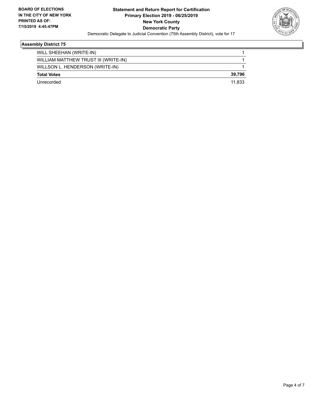

## **Assembly District 75**

| WILL SHEEHAN (WRITE-IN)              |        |
|--------------------------------------|--------|
| WILLIAM MATTHEW TRUST III (WRITE-IN) |        |
| WILLSON L. HENDERSON (WRITE-IN)      |        |
| <b>Total Votes</b>                   | 39,796 |
| Unrecorded                           | 11.833 |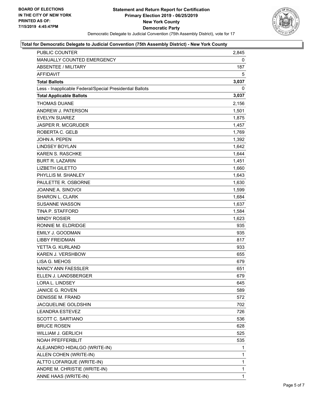

## **Total for Democratic Delegate to Judicial Convention (75th Assembly District) - New York County**

| PUBLIC COUNTER                                           | 2,845       |
|----------------------------------------------------------|-------------|
| MANUALLY COUNTED EMERGENCY                               | 0           |
| <b>ABSENTEE / MILITARY</b>                               | 187         |
| <b>AFFIDAVIT</b>                                         | 5           |
| <b>Total Ballots</b>                                     | 3,037       |
| Less - Inapplicable Federal/Special Presidential Ballots | 0           |
| <b>Total Applicable Ballots</b>                          | 3,037       |
| <b>THOMAS DUANE</b>                                      | 2,156       |
| ANDREW J. PATERSON                                       | 1,501       |
| <b>EVELYN SUAREZ</b>                                     | 1,875       |
| <b>JASPER R. MCGRUDER</b>                                | 1,457       |
| ROBERTA C. GELB                                          | 1,769       |
| <b>JOHN A. PEPEN</b>                                     | 1,392       |
| <b>LINDSEY BOYLAN</b>                                    | 1,642       |
| <b>KAREN S. RASCHKE</b>                                  | 1,644       |
| <b>BURT R. LAZARIN</b>                                   | 1,451       |
| <b>LIZBETH GILETTO</b>                                   | 1,660       |
| PHYLLIS M. SHANLEY                                       | 1,643       |
| PAULETTE R. OSBORNE                                      | 1,630       |
| JOANNE A. SINOVOI                                        | 1,599       |
| <b>SHARON L. CLARK</b>                                   | 1,684       |
| <b>SUSANNE WASSON</b>                                    | 1,637       |
| TINA P. STAFFORD                                         | 1,584       |
| <b>MINDY ROSIER</b>                                      | 1,623       |
| RONNIE M. ELDRIDGE                                       | 935         |
| EMILY J. GOODMAN                                         | 935         |
| LIBBY FREIDMAN                                           | 817         |
| YETTA G. KURLAND                                         | 933         |
| KAREN J. VERSHBOW                                        | 655         |
| LISA G. MEHOS                                            | 679         |
| <b>NANCY ANN FAESSLER</b>                                | 651         |
| ELLEN J. LANDSBERGER                                     | 679         |
| LORA L. LINDSEY                                          | 645         |
| <b>JANICE G. ROVEN</b>                                   | 589         |
| <b>DENISSE M. FRAND</b>                                  | 572         |
| JACQUELINE GOLDSHIN                                      | 702         |
| <b>LEANDRA ESTEVEZ</b>                                   | 726         |
| SCOTT C. SARTIANO                                        | 536         |
| <b>BRUCE ROSEN</b>                                       | 628         |
| <b>WILLIAM J. GERLICH</b>                                | 525         |
| NOAH PFEFFERBLIT                                         | 535         |
| ALEJANDRO HIDALGO (WRITE-IN)                             | 1           |
| ALLEN COHEN (WRITE-IN)                                   | 1           |
| ALTTO LOFARQUE (WRITE-IN)                                | 1           |
| ANDRE M. CHRISTIE (WRITE-IN)                             | 1           |
| ANNE HAAS (WRITE-IN)                                     | $\mathbf 1$ |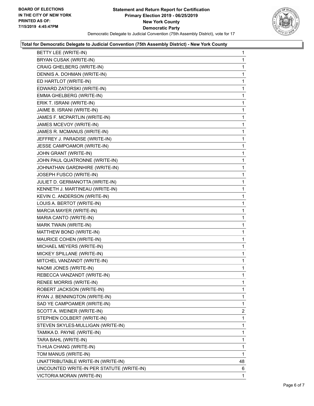

#### **Total for Democratic Delegate to Judicial Convention (75th Assembly District) - New York County**

| BETTY LEE (WRITE-IN)                      | 1            |
|-------------------------------------------|--------------|
| <b>BRYAN CUSAK (WRITE-IN)</b>             | 1            |
| CRAIG GHELBERG (WRITE-IN)                 | 1            |
| DENNIS A. DOHMAN (WRITE-IN)               | 1            |
| ED HARTLOT (WRITE-IN)                     | 1            |
| EDWARD ZATORSKI (WRITE-IN)                | 1            |
| EMMA GHELBERG (WRITE-IN)                  | 1            |
| ERIK T. ISRANI (WRITE-IN)                 | 1            |
| JAIME B. ISRANI (WRITE-IN)                | 1            |
| JAMES F. MCPARTLIN (WRITE-IN)             | 1            |
| JAMES MCEVOY (WRITE-IN)                   | 1            |
| JAMES R. MCMANUS (WRITE-IN)               | 1            |
| JEFFREY J. PARADISE (WRITE-IN)            | 1            |
| JESSE CAMPOAMOR (WRITE-IN)                | 1            |
| JOHN GRANT (WRITE-IN)                     | $\mathbf{1}$ |
| JOHN PAUL QUATRONNE (WRITE-IN)            | 1            |
| JOHNATHAN GARDNHIRE (WRITE-IN)            | 1            |
| JOSEPH FUSCO (WRITE-IN)                   | 1            |
| JULIET D. GERMANOTTA (WRITE-IN)           | 1            |
| KENNETH J. MARTINEAU (WRITE-IN)           | 1            |
| KEVIN C. ANDERSON (WRITE-IN)              | $\mathbf{1}$ |
| LOUIS A. BERTOT (WRITE-IN)                | 1            |
| MARCIA MAYER (WRITE-IN)                   | 1            |
| MARIA CANTO (WRITE-IN)                    | 1            |
| MARK TWAIN (WRITE-IN)                     | 1            |
| MATTHEW BOND (WRITE-IN)                   | 1            |
| MAURICE COHEN (WRITE-IN)                  | 1            |
| MICHAEL MEYERS (WRITE-IN)                 | 1            |
| MICKEY SPILLANE (WRITE-IN)                | 1            |
| MITCHEL VANZANDT (WRITE-IN)               | 1            |
| NAOMI JONES (WRITE-IN)                    | 1            |
| REBECCA VANZANDT (WRITE-IN)               | 1            |
| <b>RENEE MORRIS (WRITE-IN)</b>            | 1            |
| ROBERT JACKSON (WRITE-IN)                 | 1            |
| RYAN J. BENNINGTON (WRITE-IN)             | 1            |
| SAD YE CAMPOAMER (WRITE-IN)               | 1            |
| SCOTT A. WEINER (WRITE-IN)                | 2            |
| STEPHEN COLBERT (WRITE-IN)                | 1            |
| STEVEN SKYLES-MULLIGAN (WRITE-IN)         | 1            |
| TAMIKA D. PAYNE (WRITE-IN)                | 1            |
| TARA BAHL (WRITE-IN)                      | 1            |
| TI-HUA CHANG (WRITE-IN)                   | 1            |
| TOM MANUS (WRITE-IN)                      | 1            |
| UNATTRIBUTABLE WRITE-IN (WRITE-IN)        | 48           |
| UNCOUNTED WRITE-IN PER STATUTE (WRITE-IN) | 6            |
| VICTORIA MORAN (WRITE-IN)                 | 1.           |
|                                           |              |